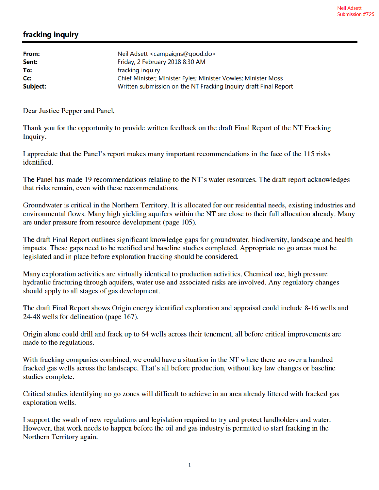## fracking inquiry

| From:            | Neil Adsett <campaigns@good.do></campaigns@good.do>              |
|------------------|------------------------------------------------------------------|
| Sent:            | Friday, 2 February 2018 8:30 AM                                  |
| To:              | fracking inquiry                                                 |
| $C_{\mathbf{C}}$ | Chief Minister; Minister Fyles; Minister Vowles; Minister Moss   |
| Subject:         | Written submission on the NT Fracking Inquiry draft Final Report |

Dear Justice Pepper and Panel,

Thank you for the opportunity to provide written feedback on the draft Final Report of the NT Fracking Inquiry.

I appreciate that the Panel's report makes many important recommendations in the face of the 115 risks identified.

The Panel has made 19 recommendations relating to the NT's water resources. The draft report acknowledges that risks remain, even with these recommendations.

Groundwater is critical in the Northern Territory. It is allocated for our residential needs, existing industries and environmental flows. Many high yielding aquifers within the NT are close to their full allocation already. Many are under pressure from resource development (page 105).

The draft Final Report outlines significant knowledge gaps for groundwater, biodiversity, landscape and health impacts. These gaps need to be rectified and baseline studies completed. Appropriate no go areas must be legislated and in place before exploration fracking should be considered.

Many exploration activities are virtually identical to production activities. Chemical use, high pressure hydraulic fracturing through aquifers, water use and associated risks are involved. Any regulatory changes should apply to all stages of gas development.

The draft Final Report shows Origin energy identified exploration and appraisal could include 8-16 wells and 24-48 wells for delineation (page 167).

Origin alone could drill and frack up to 64 wells across their tenement, all before critical improvements are made to the regulations.

With fracking companies combined, we could have a situation in the NT where there are over a hundred fracked gas wells across the landscape. That's all before production, without key law changes or baseline studies complete.

Critical studies identifying no go zones will difficult to achieve in an area already littered with fracked gas exploration wells.

I support the swath of new regulations and legislation required to try and protect landholders and water. However, that work needs to happen before the oil and gas industry is permitted to start fracking in the Northern Territory again.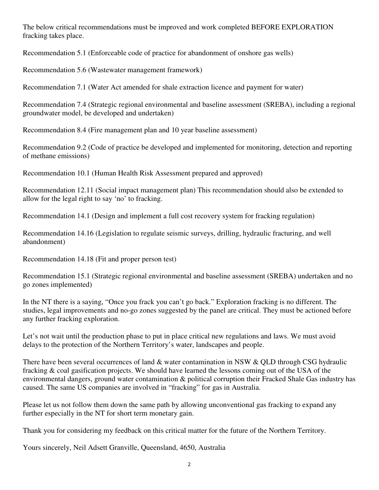The below critical recommendations must be improved and work completed BEFORE EXPLORATION fracking takes place.

Recommendation 5.1 (Enforceable code of practice for abandonment of onshore gas wells)

Recommendation 5.6 (Wastewater management framework)

Recommendation 7.1 (Water Act amended for shale extraction licence and payment for water)

Recommendation 7.4 (Strategic regional environmental and baseline assessment (SREBA), including a regional groundwater model, be developed and undertaken)

Recommendation 8.4 (Fire management plan and 10 year baseline assessment)

Recommendation 9.2 (Code of practice be developed and implemented for monitoring, detection and reporting of methane emissions)

Recommendation 10.1 (Human Health Risk Assessment prepared and approved)

Recommendation 12.11 (Social impact management plan) This recommendation should also be extended to allow for the legal right to say 'no' to fracking.

Recommendation 14.1 (Design and implement a full cost recovery system for fracking regulation)

Recommendation 14.16 (Legislation to regulate seismic surveys, drilling, hydraulic fracturing, and well abandonment)

Recommendation 14.18 (Fit and proper person test)

Recommendation 15.1 (Strategic regional environmental and baseline assessment (SREBA) undertaken and no go zones implemented)

In the NT there is a saying, "Once you frack you can't go back." Exploration fracking is no different. The studies, legal improvements and no-go zones suggested by the panel are critical. They must be actioned before any further fracking exploration.

Let's not wait until the production phase to put in place critical new regulations and laws. We must avoid delays to the protection of the Northern Territory's water, landscapes and people.

There have been several occurrences of land & water contamination in NSW & QLD through CSG hydraulic fracking & coal gasification projects. We should have learned the lessons coming out of the USA of the environmental dangers, ground water contamination & political corruption their Fracked Shale Gas industry has caused. The same US companies are involved in "fracking" for gas in Australia.

Please let us not follow them down the same path by allowing unconventional gas fracking to expand any further especially in the NT for short term monetary gain.

Thank you for considering my feedback on this critical matter for the future of the Northern Territory.

Yours sincerely, Neil Adsett Granville, Queensland, 4650, Australia